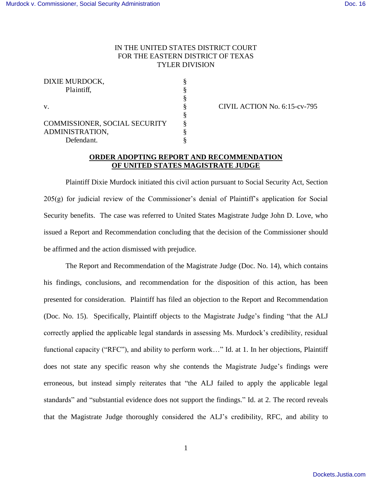## IN THE UNITED STATES DISTRICT COURT FOR THE EASTERN DISTRICT OF TEXAS TYLER DIVISION

CIVIL ACTION No. 6:15-cv-795

## **ORDER ADOPTING REPORT AND RECOMMENDATION OF UNITED STATES MAGISTRATE JUDGE**

 Plaintiff Dixie Murdock initiated this civil action pursuant to Social Security Act, Section 205(g) for judicial review of the Commissioner's denial of Plaintiff's application for Social Security benefits. The case was referred to United States Magistrate Judge John D. Love, who issued a Report and Recommendation concluding that the decision of the Commissioner should be affirmed and the action dismissed with prejudice.

 The Report and Recommendation of the Magistrate Judge (Doc. No. 14), which contains his findings, conclusions, and recommendation for the disposition of this action, has been presented for consideration. Plaintiff has filed an objection to the Report and Recommendation (Doc. No. 15). Specifically, Plaintiff objects to the Magistrate Judge's finding "that the ALJ correctly applied the applicable legal standards in assessing Ms. Murdock's credibility, residual functional capacity ("RFC"), and ability to perform work…" Id. at 1. In her objections, Plaintiff does not state any specific reason why she contends the Magistrate Judge's findings were erroneous, but instead simply reiterates that "the ALJ failed to apply the applicable legal standards" and "substantial evidence does not support the findings." Id. at 2. The record reveals that the Magistrate Judge thoroughly considered the ALJ's credibility, RFC, and ability to